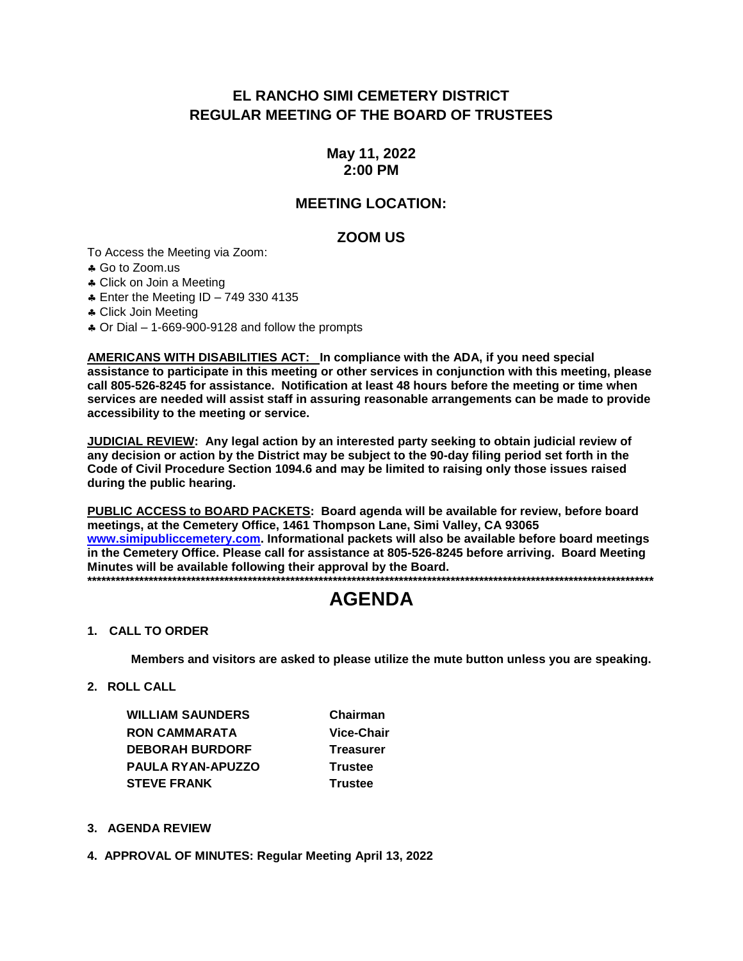# EL RANCHO SIMI CEMETERY DISTRICT **REGULAR MEETING OF THE BOARD OF TRUSTEES**

## May 11, 2022  $2:00$  PM

## **MEETING LOCATION:**

### **ZOOM US**

To Access the Meeting via Zoom:

\* Go to Zoom.us

\* Click on Join a Meeting

**4 Enter the Meeting ID - 749 330 4135** 

\* Click Join Meeting

\* Or Dial - 1-669-900-9128 and follow the prompts

**AMERICANS WITH DISABILITIES ACT:** In compliance with the ADA, if you need special assistance to participate in this meeting or other services in conjunction with this meeting, please call 805-526-8245 for assistance. Notification at least 48 hours before the meeting or time when services are needed will assist staff in assuring reasonable arrangements can be made to provide accessibility to the meeting or service.

JUDICIAL REVIEW: Any legal action by an interested party seeking to obtain judicial review of any decision or action by the District may be subject to the 90-day filing period set forth in the Code of Civil Procedure Section 1094.6 and may be limited to raising only those issues raised during the public hearing.

PUBLIC ACCESS to BOARD PACKETS: Board agenda will be available for review, before board meetings, at the Cemetery Office, 1461 Thompson Lane, Simi Valley, CA 93065 www.simipubliccemetery.com. Informational packets will also be available before board meetings in the Cemetery Office. Please call for assistance at 805-526-8245 before arriving. Board Meeting Minutes will be available following their approval by the Board. 

# **AGENDA**

#### 1. CALL TO ORDER

Members and visitors are asked to please utilize the mute button unless you are speaking.

2. ROLL CALL

**WILLIAM SAUNDERS RON CAMMARATA DEBORAH BURDORF** PAULA RYAN-APUZZO **STEVE FRANK** 

Chairman **Vice-Chair Treasurer Trustee Trustee** 

#### 3. AGENDA REVIEW

4. APPROVAL OF MINUTES: Regular Meeting April 13, 2022